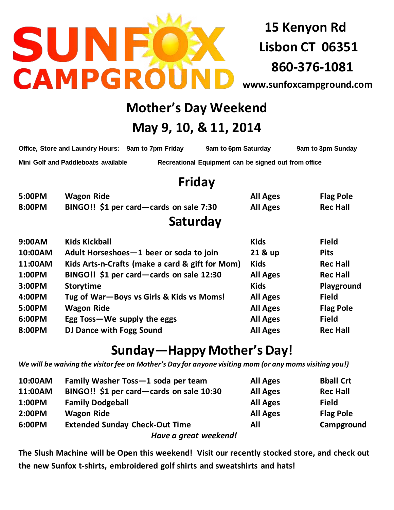

**15 Kenyon Rd Lisbon CT 06351 860-376-1081**

**[www.sunfoxcampground.com](http://www.sunfoxcampground.com/)**

## **Mother's Day Weekend**

## **May 9, 10, & 11, 2014**

| Office, Store and Laundry Hours: 9am to 7pm Friday | 9am to 6pm Saturday                                  | 9am to 3pm Sunday |
|----------------------------------------------------|------------------------------------------------------|-------------------|
| Mini Golf and Paddleboats available                | Recreational Equipment can be signed out from office |                   |

## **Friday**

| 5:00PM | Wagon Ride                              | <b>All Ages</b> | <b>Flag Pole</b> |
|--------|-----------------------------------------|-----------------|------------------|
| 8:00PM | BINGO!! \$1 per card—cards on sale 7:30 | <b>All Ages</b> | <b>Rec Hall</b>  |
|        | Saturday                                |                 |                  |
| 9:00AM | <b>Kids Kickball</b>                    | <b>Kids</b>     | <b>Field</b>     |

| <b>9:00AM</b> | KIAS KICKDAII                                   | KIAS            | Field            |
|---------------|-------------------------------------------------|-----------------|------------------|
| 10:00AM       | Adult Horseshoes-1 beer or soda to join         | 21 & up         | <b>Pits</b>      |
| 11:00AM       | Kids Arts-n-Crafts (make a card & gift for Mom) | <b>Kids</b>     | <b>Rec Hall</b>  |
| 1:00PM        | BINGO!! \$1 per card-cards on sale 12:30        | <b>All Ages</b> | <b>Rec Hall</b>  |
| 3:00PM        | <b>Storytime</b>                                | <b>Kids</b>     | Playground       |
| 4:00PM        | Tug of War-Boys vs Girls & Kids vs Moms!        | <b>All Ages</b> | <b>Field</b>     |
| 5:00PM        | <b>Wagon Ride</b>                               | <b>All Ages</b> | <b>Flag Pole</b> |
| 6:00PM        | Egg Toss-We supply the eggs                     | <b>All Ages</b> | <b>Field</b>     |
| 8:00PM        | DJ Dance with Fogg Sound                        | <b>All Ages</b> | <b>Rec Hall</b>  |
|               |                                                 |                 |                  |

# **Sunday—Happy Mother's Day!**

*We will be waiving the visitor fee on Mother's Day for anyone visiting mom (or any moms visiting you!)*

| 10:00AM | Family Washer Toss-1 soda per team       | <b>All Ages</b> | <b>Bball Crt</b> |
|---------|------------------------------------------|-----------------|------------------|
| 11:00AM | BINGO!! \$1 per card—cards on sale 10:30 | <b>All Ages</b> | <b>Rec Hall</b>  |
| 1:00PM  | <b>Family Dodgeball</b>                  | <b>All Ages</b> | <b>Field</b>     |
| 2:00PM  | <b>Wagon Ride</b>                        | <b>All Ages</b> | <b>Flag Pole</b> |
| 6:00PM  | <b>Extended Sunday Check-Out Time</b>    | All             | Campground       |
|         | Have a great weekend!                    |                 |                  |

**The Slush Machine will be Open this weekend! Visit our recently stocked store, and check out the new Sunfox t-shirts, embroidered golf shirts and sweatshirts and hats!**